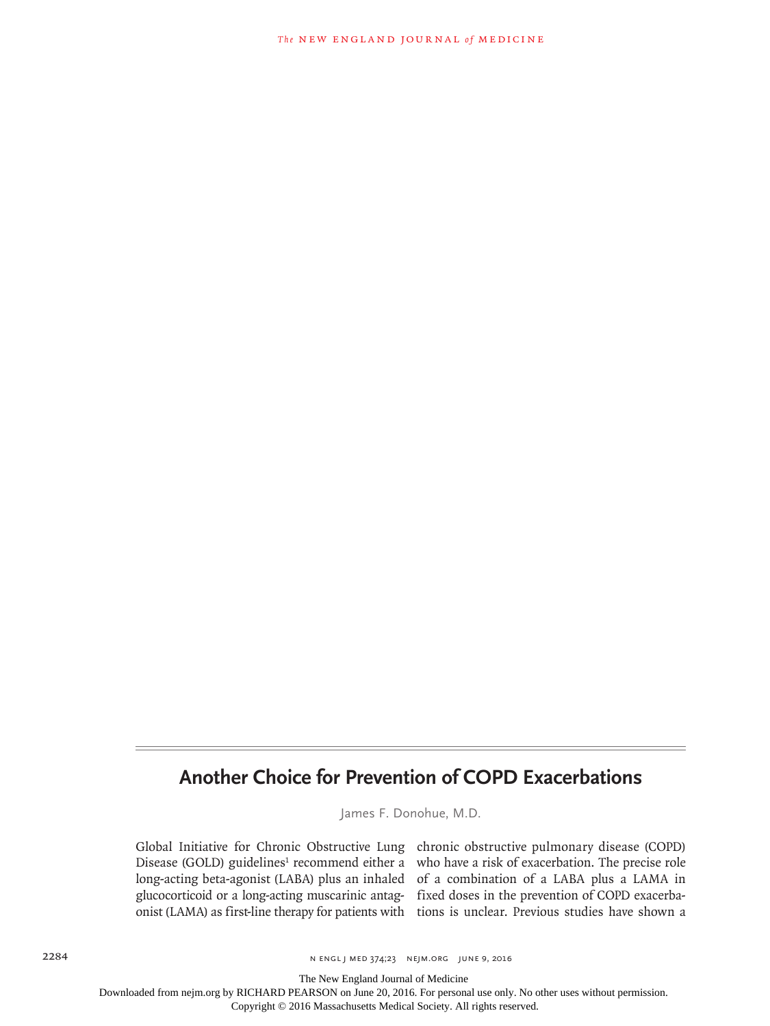## **Another Choice for Prevention of COPD Exacerbations**

James F. Donohue, M.D.

Global Initiative for Chronic Obstructive Lung chronic obstructive pulmonary disease (COPD) Disease (GOLD) guidelines<sup>1</sup> recommend either a who have a risk of exacerbation. The precise role long-acting beta-agonist (LABA) plus an inhaled of a combination of a LABA plus a LAMA in glucocorticoid or a long-acting muscarinic antag-fixed doses in the prevention of COPD exacerbaonist (LAMA) as first-line therapy for patients with tions is unclear. Previous studies have shown a

The New England Journal of Medicine

Downloaded from nejm.org by RICHARD PEARSON on June 20, 2016. For personal use only. No other uses without permission.

Copyright © 2016 Massachusetts Medical Society. All rights reserved.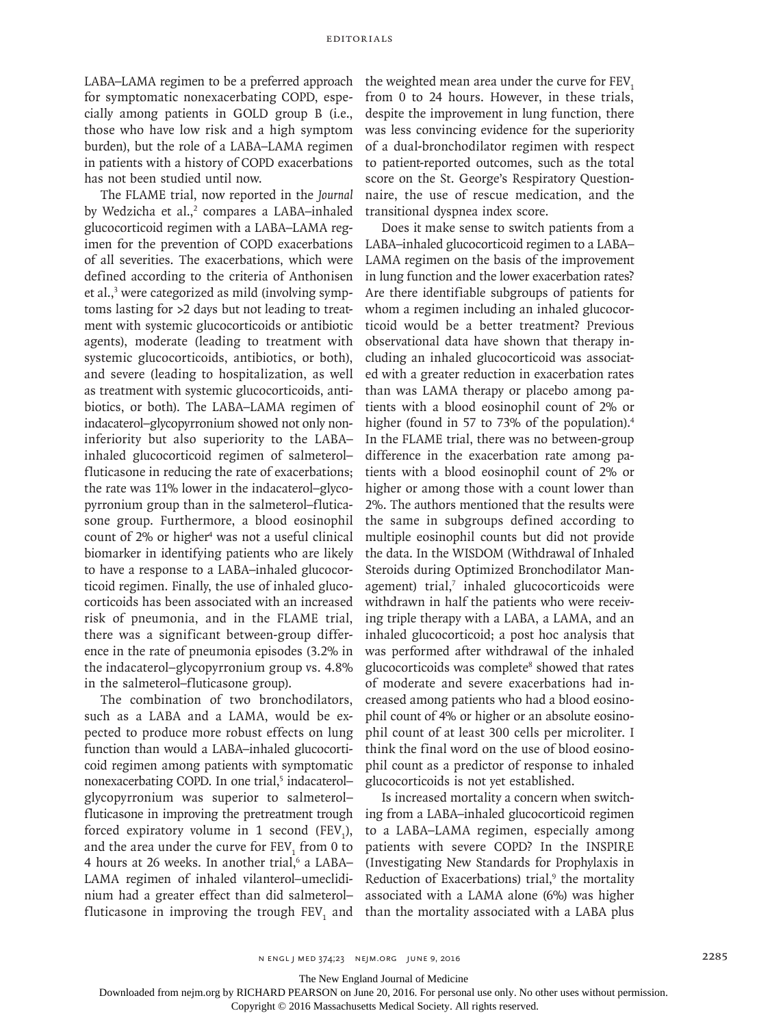LABA–LAMA regimen to be a preferred approach for symptomatic nonexacerbating COPD, especially among patients in GOLD group B (i.e., those who have low risk and a high symptom burden), but the role of a LABA–LAMA regimen in patients with a history of COPD exacerbations has not been studied until now.

The FLAME trial, now reported in the *Journal* by Wedzicha et al.,<sup>2</sup> compares a LABA-inhaled glucocorticoid regimen with a LABA–LAMA regimen for the prevention of COPD exacerbations of all severities. The exacerbations, which were defined according to the criteria of Anthonisen et al.,<sup>3</sup> were categorized as mild (involving symptoms lasting for >2 days but not leading to treatment with systemic glucocorticoids or antibiotic agents), moderate (leading to treatment with systemic glucocorticoids, antibiotics, or both), and severe (leading to hospitalization, as well as treatment with systemic glucocorticoids, antibiotics, or both). The LABA–LAMA regimen of indacaterol–glycopyrronium showed not only noninferiority but also superiority to the LABA– inhaled glucocorticoid regimen of salmeterol– fluticasone in reducing the rate of exacerbations; the rate was 11% lower in the indacaterol–glycopyrronium group than in the salmeterol–fluticasone group. Furthermore, a blood eosinophil count of 2% or higher<sup>4</sup> was not a useful clinical biomarker in identifying patients who are likely to have a response to a LABA–inhaled glucocorticoid regimen. Finally, the use of inhaled glucocorticoids has been associated with an increased risk of pneumonia, and in the FLAME trial, there was a significant between-group difference in the rate of pneumonia episodes (3.2% in the indacaterol–glycopyrronium group vs. 4.8% in the salmeterol–fluticasone group).

The combination of two bronchodilators, such as a LABA and a LAMA, would be expected to produce more robust effects on lung function than would a LABA–inhaled glucocorticoid regimen among patients with symptomatic nonexacerbating COPD. In one trial,<sup>5</sup> indacaterolglycopyrronium was superior to salmeterol– fluticasone in improving the pretreatment trough forced expiratory volume in 1 second  $(FEV_1)$ , and the area under the curve for  $\text{FEV}_1$  from 0 to 4 hours at 26 weeks. In another trial,<sup>6</sup> a LABA-LAMA regimen of inhaled vilanterol–umeclidinium had a greater effect than did salmeterol– fluticasone in improving the trough  $FEV<sub>1</sub>$  and than the mortality associated with a LABA plus

the weighted mean area under the curve for FEV. from 0 to 24 hours. However, in these trials, despite the improvement in lung function, there was less convincing evidence for the superiority of a dual-bronchodilator regimen with respect to patient-reported outcomes, such as the total score on the St. George's Respiratory Questionnaire, the use of rescue medication, and the transitional dyspnea index score.

Does it make sense to switch patients from a LABA–inhaled glucocorticoid regimen to a LABA– LAMA regimen on the basis of the improvement in lung function and the lower exacerbation rates? Are there identifiable subgroups of patients for whom a regimen including an inhaled glucocorticoid would be a better treatment? Previous observational data have shown that therapy including an inhaled glucocorticoid was associated with a greater reduction in exacerbation rates than was LAMA therapy or placebo among patients with a blood eosinophil count of 2% or higher (found in 57 to 73% of the population).<sup>4</sup> In the FLAME trial, there was no between-group difference in the exacerbation rate among patients with a blood eosinophil count of 2% or higher or among those with a count lower than 2%. The authors mentioned that the results were the same in subgroups defined according to multiple eosinophil counts but did not provide the data. In the WISDOM (Withdrawal of Inhaled Steroids during Optimized Bronchodilator Management) trial,<sup>7</sup> inhaled glucocorticoids were withdrawn in half the patients who were receiving triple therapy with a LABA, a LAMA, and an inhaled glucocorticoid; a post hoc analysis that was performed after withdrawal of the inhaled glucocorticoids was complete<sup>8</sup> showed that rates of moderate and severe exacerbations had increased among patients who had a blood eosinophil count of 4% or higher or an absolute eosinophil count of at least 300 cells per microliter. I think the final word on the use of blood eosinophil count as a predictor of response to inhaled glucocorticoids is not yet established.

Is increased mortality a concern when switching from a LABA–inhaled glucocorticoid regimen to a LABA–LAMA regimen, especially among patients with severe COPD? In the INSPIRE (Investigating New Standards for Prophylaxis in Reduction of Exacerbations) trial,<sup>9</sup> the mortality associated with a LAMA alone (6%) was higher

The New England Journal of Medicine

Downloaded from nejm.org by RICHARD PEARSON on June 20, 2016. For personal use only. No other uses without permission.

Copyright © 2016 Massachusetts Medical Society. All rights reserved.